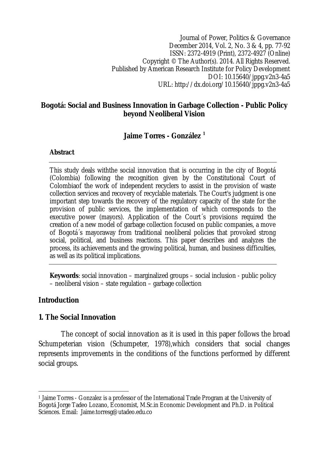Journal of Power, Politics & Governance December 2014, Vol. 2, No. 3 & 4, pp. 77-92 ISSN: 2372-4919 (Print), 2372-4927 (Online) Copyright © The Author(s). 2014. All Rights Reserved. Published by American Research Institute for Policy Development DOI: 10.15640/jppg.v2n3-4a5 URL: http://dx.doi.org/10.15640/jppg.v2n3-4a5

## **Bogotá: Social and Business Innovation in Garbage Collection - Public Policy beyond Neoliberal Vision**

## **Jaime Torres - González <sup>1</sup>**

#### **Abstract**

This study deals withthe social innovation that is occurring in the city of Bogotá (Colombia) following the recognition given by the Constitutional Court of Colombiaof the work of independent recyclers to assist in the provision of waste collection services and recovery of recyclable materials. The Court's judgment is one important step towards the recovery of the regulatory capacity of the state for the provision of public services, the implementation of which corresponds to the executive power (mayors). Application of the Court´s provisions required the creation of a new model of garbage collection focused on public companies, a move of Bogotá´s mayoraway from traditional neoliberal policies that provoked strong social, political, and business reactions. This paper describes and analyzes the process, its achievements and the growing political, human, and business difficulties, as well as its political implications.

**Keywords**: social innovation – marginalized groups – social inclusion - public policy – neoliberal vision – state regulation – garbage collection

## **Introduction**

## **1. The Social Innovation**

The concept of social innovation as it is used in this paper follows the broad Schumpeterian vision (Schumpeter, 1978),which considers that social changes represents improvements in the conditions of the functions performed by different social groups.

 $\overline{\phantom{a}}$ <sup>1</sup> Jaime Torres - Gonzalez is a professor of the International Trade Program at the University of Bogotá Jorge Tadeo Lozano, Economist, M.Sc.in Economic Development and Ph.D. in Political Sciences. Email: Jaime.torresg@utadeo.edu.co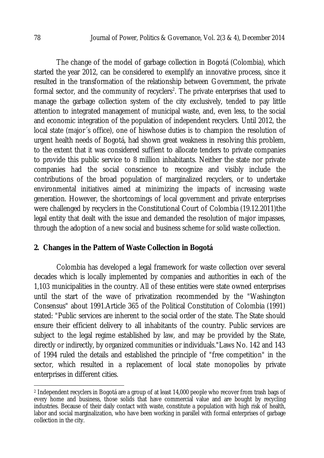The change of the model of garbage collection in Bogotá (Colombia), which started the year 2012, can be considered to exemplify an innovative process, since it resulted in the transformation of the relationship between Government, the private formal sector, and the community of recyclers<sup>2</sup>. The private enterprises that used to manage the garbage collection system of the city exclusively, tended to pay little attention to integrated management of municipal waste, and, even less, to the social and economic integration of the population of independent recyclers. Until 2012, the local state (major´s office), one of hiswhose duties is to champion the resolution of urgent health needs of Bogotá, had shown great weakness in resolving this problem, to the extent that it was considered suffient to allocate tenders to private companies to provide this public service to 8 million inhabitants. Neither the state nor private companies had the social conscience to recognize and visibly include the contributions of the broad population of marginalized recyclers, or to undertake environmental initiatives aimed at minimizing the impacts of increasing waste generation. However, the shortcomings of local government and private enterprises were challenged by recyclers in the Constitutional Court of Colombia (19.12.2011)the legal entity that dealt with the issue and demanded the resolution of major impasses, through the adoption of a new social and business scheme for solid waste collection.

## **2. Changes in the Pattern of Waste Collection in Bogotá**

Colombia has developed a legal framework for waste collection over several decades which is locally implemented by companies and authorities in each of the 1,103 municipalities in the country. All of these entities were state owned enterprises until the start of the wave of privatization recommended by the "Washington Consensus" about 1991.Article 365 of the Political Constitution of Colombia (1991) stated: "Public services are inherent to the social order of the state. The State should ensure their efficient delivery to all inhabitants of the country. Public services are subject to the legal regime established by law, and may be provided by the State, directly or indirectly, by organized communities or individuals."Laws No. 142 and 143 of 1994 ruled the details and established the principle of "free competition" in the sector, which resulted in a replacement of local state monopolies by private enterprises in different cities.

 $\overline{a}$ <sup>2</sup> Independent recyclers in Bogotá are a group of at least 14,000 people who recover from trash bags of every home and business, those solids that have commercial value and are bought by recycling industries. Because of their daily contact with waste, constitute a population with high risk of health, labor and social marginalization, who have been working in parallel with formal enterprises of garbage collection in the city.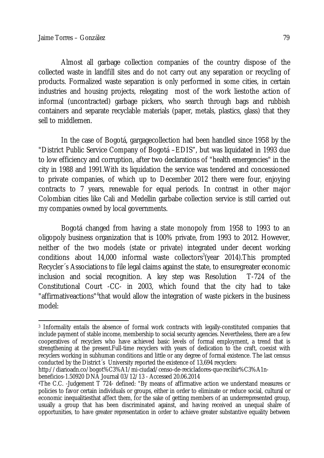Almost all garbage collection companies of the country dispose of the collected waste in landfill sites and do not carry out any separation or recycling of products. Formalized waste separation is only performed in some cities, in certain industries and housing projects, relegating most of the work liestothe action of informal (uncontracted) garbage pickers, who search through bags and rubbish containers and separate recyclable materials (paper, metals, plastics, glass) that they sell to middlemen.

In the case of Bogotá, gargagecollection had been handled since 1958 by the "District Public Service Company of Bogotá –EDIS", but was liquidated in 1993 due to low efficiency and corruption, after two declarations of "health emergencies" in the city in 1988 and 1991.With its liquidation the service was tendered and concessioned to private companies, of which up to December 2012 there were four, enjoying contracts to 7 years, renewable for equal periods. In contrast in other major Colombian cities like Cali and Medellin garbabe collection service is still carried out my companies owned by local governments.

Bogotá changed from having a state monopoly from 1958 to 1993 to an oligopoly business organization that is 100% private, from 1993 to 2012. However, neither of the two models (state or private) integrated under decent working conditions about 14,000 informal waste collectors<sup>3</sup>(year 2014).This prompted Recycler´s Associations to file legal claims against the state, to ensuregreater economic inclusion and social recognition. A key step was Resolution T-724 of the Constitutional Court -CC- in 2003, which found that the city had to take "affirmativeactions"<sup>4</sup>that would allow the integration of waste pickers in the business model:

beneficios-1.50920 DNA Journal 03/12/13 - Accessed 20.06.2014

 $\overline{\phantom{a}}$ <sup>3</sup> Informality entails the absence of formal work contracts with legally-constituted companies that include payment of stable income, membership to social security agencies. Nevertheless, there are a few cooperatives of recyclers who have achieved basic levels of formal employment, a trend that is strengthening at the present.Full-time recyclers with years of dedication to the craft, coexist with recyclers working in subhuman conditions and little or any degree of formal existence. The last census conducted by the District´s University reported the existence of 13,694 recyclers:

http://diarioadn.co/bogot%C3%A1/mi-ciudad/censo-de-recicladores-que-recibir%C3%A1n-

<sup>4</sup>The C.C. -Judgement T 724- defined: "By means of affirmative action we understand measures or policies to favor certain individuals or groups, either in order to eliminate or reduce social, cultural or economic inequalitiesthat affect them, for the sake of getting members of an underrepresented group, usually a group that has been discriminated against, and having received an unequal shalre of opportunities, to have greater representation in order to achieve greater substantive equality between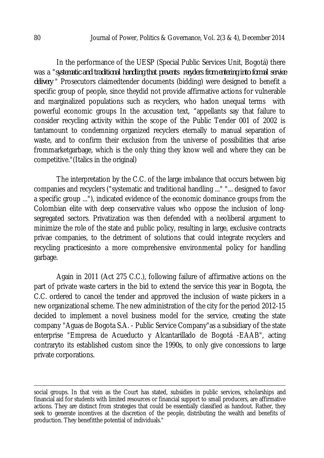In the performance of the UESP (Special Public Services Unit, Bogotá) there was a "*systematic and traditional handling that prevents recyclers from entering into formal service delivery* " Prosecutors claimedtender documents (bidding) were designed to benefit a specific group of people, since theydid not provide affirmative actions for vulnerable and marginalized populations such as recyclers, who hadon unequal terms with powerful economic groups In the accusation text, "appellants say that failure to consider recycling activity within the scope of the Public Tender 001 of 2002 is tantamount to condemning organized recyclers eternally to manual separation of waste, and to confirm their exclusion from the universe of possibilities that arise frommarketgarbage, which is the only thing they know well and where they can be competitive."(Italics in the original)

The interpretation by the C.C. of the large imbalance that occurs between big companies and recyclers ("systematic and traditional handling ..." "... designed to favor a specific group ..."), indicated evidence of the economic dominance groups from the Colombian elite with deep conservative values who oppose the inclusion of longsegregated sectors. Privatization was then defended with a neoliberal argument to minimize the role of the state and public policy, resulting in large, exclusive contracts privae companies, to the detriment of solutions that could integrate recyclers and recycling practicesinto a more comprehensive environmental policy for handling garbage.

Again in 2011 (Act 275 C.C.), following failure of affirmative actions on the part of private waste carters in the bid to extend the service this year in Bogota, the C.C. ordered to cancel the tender and approved the inclusion of waste pickers in a new organizational scheme. The new administration of the city for the period 2012-15 decided to implement a novel business model for the service, creating the state company "Aguas de Bogota S.A. - Public Service Company"as a subsidiary of the state enterprise "Empresa de Acueducto y Alcantarillado de Bogotá -EAAB", acting contraryto its established custom since the 1990s, to only give concessions to large private corporations.

 $\overline{a}$ 

social groups. In that vein as the Court has stated, subsidies in public services, scholarships and financial aid for students with limited resources or financial support to small producers, are affirmative actions. They are distinct from strategies that could be essentially classified as handout. Rather, they seek to generate incentives at the discretion of the people, distributing the wealth and benefits of production. They benefitthe potential of individuals."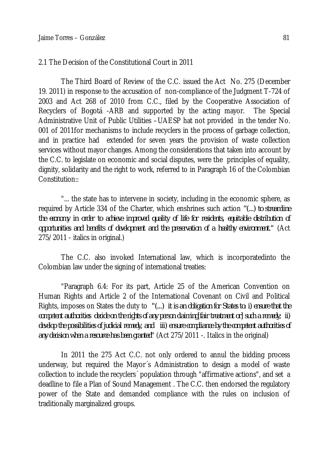#### 2.1 The Decision of the Constitutional Court in 2011

The Third Board of Review of the C.C. issued the Act No. 275 (December 19. 2011) in response to the accusation of non-compliance of the Judgment T-724 of 2003 and Act 268 of 2010 from C.C., filed by the Cooperative Association of Recyclers of Bogotá -ARB and supported by the acting mayor. The Special Administrative Unit of Public Utilities –UAESP hat not provided in the tender No. 001 of 2011for mechanisms to include recyclers in the process of garbage collection, and in practice had extended for seven years the provision of waste collection services without mayor changes. Among the considerations that taken into account by the C.C. to legislate on economic and social disputes, were the principles of equality, dignity, solidarity and the right to work, referred to in Paragraph 16 of the Colombian Constitution::

"... the state has to intervene in society, including in the economic sphere, as required by Article 334 of the Charter, which enshrines such action *"(...) to streamline the economy in order to achieve improved quality of life for residents, equitable distribution of opportunities and benefits of development and the preservation of a healthy environment."* (Act 275/2011 - italics in original.)

The C.C. also invoked International law, which is incorporatedinto the Colombian law under the signing of international treaties:

"Paragraph 6.4: For its part, Article 25 of the American Convention on Human Rights and Article 2 of the International Covenant on Civil and Political Rights, imposes on States the duty to *"(...) it is an obligation for States to: i) ensure that the competent authorities decide on the rights of any person claiming[fair treatment or] such a remedy; ii) develop the possibilities of judicial remedy, and iii) ensure compliance by the competent authorities of any decision when a resource has been granted"* (Act 275/2011 -. Italics in the original)

In 2011 the 275 Act C.C. not only ordered to annul the bidding process underway, but required the Mayor´s Administration to design a model of waste collection to include the recyclers´ population through "affirmative actions", and set a deadline to file a Plan of Sound Management . The C.C. then endorsed the regulatory power of the State and demanded compliance with the rules on inclusion of traditionally marginalized groups.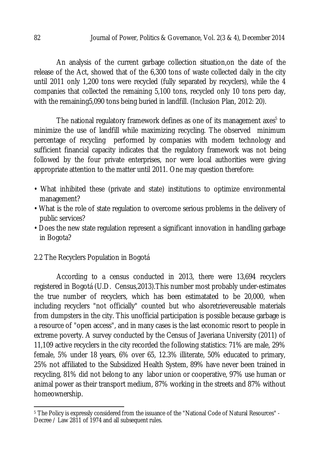An analysis of the current garbage collection situation,on the date of the release of the Act, showed that of the 6,300 tons of waste collected daily in the city until 2011 only 1,200 tons were recycled (fully separated by recyclers), while the 4 companies that collected the remaining 5,100 tons, recycled only 10 tons pero day, with the remaining5,090 tons being buried in landfill. (Inclusion Plan, 2012: 20).

The national regulatory framework defines as one of its management axes<sup>5</sup> to minimize the use of landfill while maximizing recycling. The observed minimum percentage of recycling performed by companies with modern technology and sufficient financial capacity indicates that the regulatory framework was not being followed by the four private enterprises, nor were local authorities were giving appropriate attention to the matter until 2011. One may question therefore:

- What inhibited these (private and state) institutions to optimize environmental management?
- What is the role of state regulation to overcome serious problems in the delivery of public services?
- Does the new state regulation represent a significant innovation in handling garbage in Bogota?
- 2.2 The Recyclers Population in Bogotá

According to a census conducted in 2013, there were 13,694 recyclers registered in Bogotá (U.D. Census,2013).This number most probably under-estimates the true number of recyclers, which has been estimatated to be 20,000, when including recyclers "not officially" counted but who alsoretrievereusable materials from dumpsters in the city. This unofficial participation is possible because garbage is a resource of "open access", and in many cases is the last economic resort to people in extreme poverty. A survey conducted by the Census of Javeriana University (2011) of 11,109 active recyclers in the city recorded the following statistics: 71% are male, 29% female, 5% under 18 years, 6% over 65, 12.3% illiterate, 50% educated to primary, 25% not affiliated to the Subsidized Health System, 89% have never been trained in recycling, 81% did not belong to any labor union or cooperative, 97% use human or animal power as their transport medium, 87% working in the streets and 87% without homeownership.

 $\overline{a}$ <sup>5</sup> The Policy is expressly considered from the issuance of the "National Code of Natural Resources" - Decree / Law 2811 of 1974 and all subsequent rules.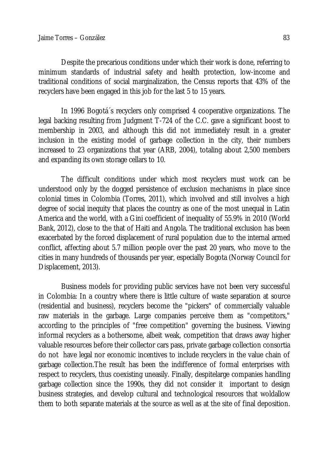Despite the precarious conditions under which their work is done, referring to minimum standards of industrial safety and health protection, low-income and traditional conditions of social marginalization, the Census reports that 43% of the recyclers have been engaged in this job for the last 5 to 15 years.

In 1996 Bogotá´s recyclers only comprised 4 cooperative organizations. The legal backing resulting from Judgment T-724 of the C.C. gave a significant boost to membership in 2003, and although this did not immediately result in a greater inclusion in the existing model of garbage collection in the city, their numbers increased to 23 organizations that year (ARB, 2004), totaling about 2,500 members and expanding its own storage cellars to 10.

The difficult conditions under which most recyclers must work can be understood only by the dogged persistence of exclusion mechanisms in place since colonial times in Colombia (Torres, 2011), which involved and still involves a high degree of social inequity that places the country as one of the most unequal in Latin America and the world, with a Gini coefficient of inequality of 55.9% in 2010 (World Bank, 2012), close to the that of Haiti and Angola. The traditional exclusion has been exacerbated by the forced displacement of rural population due to the internal armed conflict, affecting about 5.7 million people over the past 20 years, who move to the cities in many hundreds of thousands per year, especially Bogota (Norway Council for Displacement, 2013).

Business models for providing public services have not been very successful in Colombia: In a country where there is little culture of waste separation at source (residential and business), recyclers become the "pickers" of commercially valuable raw materials in the garbage. Large companies perceive them as "competitors," according to the principles of "free competition" governing the business. Viewing informal recyclers as a bothersome, albeit weak, competition that draws away higher valuable resources before their collector cars pass, private garbage collection consortia do not have legal nor economic incentives to include recyclers in the value chain of garbage collection.The result has been the indifference of formal enterprises with respect to recyclers, thus coexisting uneasily. Finally, despitelarge companies handling garbage collection since the 1990s, they did not consider it important to design business strategies, and develop cultural and technological resources that woldallow them to both separate materials at the source as well as at the site of final deposition.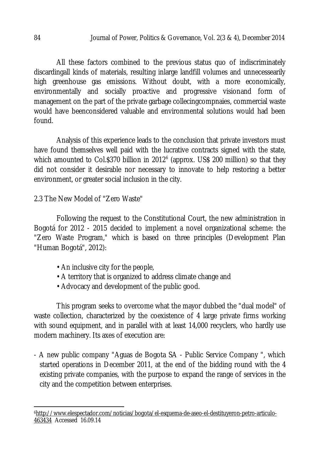All these factors combined to the previous status quo of indiscriminately discardingall kinds of materials, resulting inlarge landfill volumes and unnecessearily high greenhouse gas emissions. Without doubt, with a more economically, environmentally and socially proactive and progressive visionand form of management on the part of the private garbage collecingcompnaies, commercial waste would have beenconsidered valuable and environmental solutions would had been found.

Analysis of this experience leads to the conclusion that private investors must have found themselves well paid with the lucrative contracts signed with the state, which amounted to Col.\$370 billion in 2012<sup>6</sup> (approx. US\$ 200 million) so that they did not consider it desirable nor necessary to innovate to help restoring a better environment, or greater social inclusion in the city.

2.3 The New Model of "Zero Waste"

Following the request to the Constitutional Court, the new administration in Bogotá for 2012 - 2015 decided to implement a novel organizational scheme: the "Zero Waste Program," which is based on three principles (Development Plan "Human Bogotá", 2012):

- An inclusive city for the people,
- A territory that is organized to address climate change and
- Advocacy and development of the public good.

This program seeks to overcome what the mayor dubbed the "dual model" of waste collection, characterized by the coexistence of 4 large private firms working with sound equipment, and in parallel with at least 14,000 recyclers, who hardly use modern machinery. Its axes of execution are:

- A new public company "Aguas de Bogota SA - Public Service Company ", which started operations in December 2011, at the end of the bidding round with the 4 existing private companies, with the purpose to expand the range of services in the city and the competition between enterprises.

 $\overline{a}$ 6http://www.elespectador.com/noticias/bogota/el-esquema-de-aseo-el-destituyeron-petro-articulo-463434 Accessed 16.09.14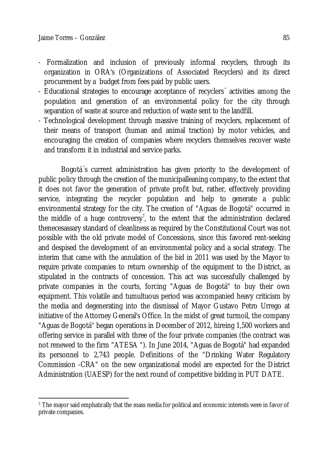- Formalization and inclusion of previously informal recyclers, through its organization in ORA's (Organizations of Associated Recyclers) and its direct procurement by a budget from fees paid by public users.
- Educational strategies to encourage acceptance of recyclers´ activities among the population and generation of an environmental policy for the city through separation of waste at source and reduction of waste sent to the landfill.
- Technological development through massive training of recyclers, replacement of their means of transport (human and animal traction) by motor vehicles, and encouraging the creation of companies where recyclers themselves recover waste and transform it in industrial and service parks.

Bogotá´s current administration has given priority to the development of public policy through the creation of the municipalleaning company, to the extent that it does not favor the generation of private profit but, rather, effectively providing service, integrating the recycler population and help to generate a public environmental strategy for the city. The creation of "Aguas de Bogotá" occurred in the middle of a huge controversy<sup>7</sup>, to the extent that the administration declared thenecesassary standard of cleanliness as required by the Constitutional Court was not possible with the old private model of Concessions, since this favored rent-seeking and despised the development of an environmental policy and a social strategy. The interim that came with the annulation of the bid in 2011 was used by the Mayor to require private companies to return ownership of the equipment to the District, as stipulated in the contracts of concession. This act was successfully challenged by private companies in the courts, forcing "Aguas de Bogotá" to buy their own equipment. This volatile and tumultuous period was accompanied heavy criticism by the media and degenerating into the dismissal of Mayor Gustavo Petro Urrego at initiative of the Attorney General's Office. In the midst of great turmoil, the company "Aguas de Bogotá" began operations in December of 2012, hireing 1,500 workers and offering service in parallel with three of the four private companies (the contract was not renewed to the firm "ATESA "). In June 2014, "Aguas de Bogotá" had expanded its personnel to 2,743 people. Definitions of the "Drinking Water Regulatory Commission -CRA" on the new organizational model are expected for the District Administration (UAESP) for the next round of competitive bidding in PUT DATE.

 $\overline{a}$ <sup>7</sup> The mayor said emphatically that the mass media for political and economic interests were in favor of private companies.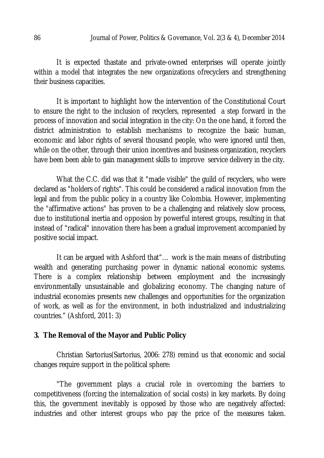It is expected thastate and private-owned enterprises will operate jointly within a model that integrates the new organizations ofrecyclers and strengthening their business capacities.

It is important to highlight how the intervention of the Constitutional Court to ensure the right to the inclusion of recyclers, represented a step forward in the process of innovation and social integration in the city: On the one hand, it forced the district administration to establish mechanisms to recognize the basic human, economic and labor rights of several thousand people, who were ignored until then, while on the other, through their union incentives and business organization, recyclers have been been able to gain management skills to improve service delivery in the city.

What the C.C. did was that it "made visible" the guild of recyclers, who were declared as "holders of rights". This could be considered a radical innovation from the legal and from the public policy in a country like Colombia. However, implementing the "affirmative actions" has proven to be a challenging and relatively slow process, due to institutional inertia and opposion by powerful interest groups, resulting in that instead of "radical" innovation there has been a gradual improvement accompanied by positive social impact.

It can be argued with Ashford that"… work is the main means of distributing wealth and generating purchasing power in dynamic national economic systems. There is a complex relationship between employment and the increasingly environmentally unsustainable and globalizing economy. The changing nature of industrial economies presents new challenges and opportunities for the organization of work, as well as for the environment, in both industrialized and industrializing countries." (Ashford, 2011: 3)

## **3. The Removal of the Mayor and Public Policy**

Christian Sartorius(Sartorius, 2006: 278) remind us that economic and social changes require support in the political sphere:

"The government plays a crucial role in overcoming the barriers to competitiveness (forcing the internalization of social costs) in key markets. By doing this, the government inevitably is opposed by those who are negatively affected: industries and other interest groups who pay the price of the measures taken.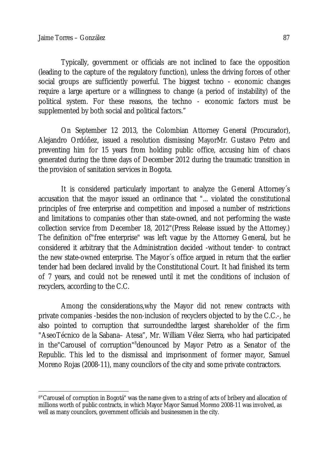Typically, government or officials are not inclined to face the opposition (leading to the capture of the regulatory function), unless the driving forces of other social groups are sufficiently powerful. The biggest techno - economic changes require a large aperture or a willingness to change (a period of instability) of the political system. For these reasons, the techno - economic factors must be supplemented by both social and political factors."

On September 12 2013, the Colombian Attorney General (Procurador), Alejandro Ordóñez, issued a resolution dismissing MayorMr. Gustavo Petro and preventing him for 15 years from holding public office, accusing him of chaos generated during the three days of December 2012 during the traumatic transition in the provision of sanitation services in Bogota.

It is considered particularly important to analyze the General Attorney´s accusation that the mayor issued an ordinance that "... violated the constitutional principles of free enterprise and competition and imposed a number of restrictions and limitations to companies other than state-owned, and not performing the waste collection service from December 18, 2012"(Press Release issued by the Attorney.) The definition of"free enterprise" was left vague by the Attorney General, but he considered it arbitrary that the Administration decided -without tender- to contract the new state-owned enterprise. The Mayor´s office argued in return that the earlier tender had been declared invalid by the Constitutional Court. It had finished its term of 7 years, and could not be renewed until it met the conditions of inclusion of recyclers, according to the C.C.

Among the considerations,why the Mayor did not renew contracts with private companies -besides the non-inclusion of recyclers objected to by the C.C.-, he also pointed to corruption that surroundedthe largest shareholder of the firm "AseoTécnico de la Sabana– Atesa", Mr. William Vélez Sierra, who had participated in the "Carousel of corruption"<sup>8</sup> denounced by Mayor Petro as a Senator of the Republic. This led to the dismissal and imprisonment of former mayor, Samuel Moreno Rojas (2008-11), many councilors of the city and some private contractors.

 $\overline{\phantom{a}}$ 8"Carousel of corruption in Bogotá" was the name given to a string of acts of bribery and allocation of millions worth of public contracts, in which Mayor Mayor Samuel Moreno 2008-11 was involved, as well as many councilors, government officials and businessmen in the city.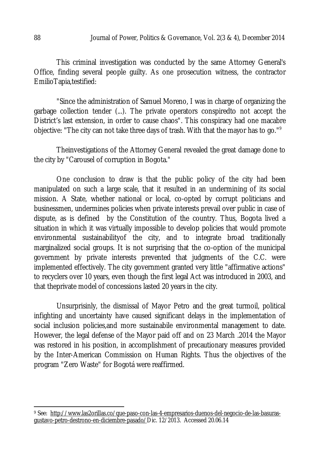This criminal investigation was conducted by the same Attorney General's Office, finding several people guilty. As one prosecution witness, the contractor EmilioTapia,testified:

"Since the administration of Samuel Moreno, I was in charge of organizing the garbage collection tender (...). The private operators conspiredto not accept the District's last extension, in order to cause chaos". This conspiracy had one macabre objective: "The city can not take three days of trash. With that the mayor has to go." 9

Theinvestigations of the Attorney General revealed the great damage done to the city by "Carousel of corruption in Bogota."

One conclusion to draw is that the public policy of the city had been manipulated on such a large scale, that it resulted in an undermining of its social mission. A State, whether national or local, co-opted by corrupt politicians and businessmen, undermines policies when private interests prevail over public in case of dispute, as is defined by the Constitution of the country. Thus, Bogota lived a situation in which it was virtually impossible to develop policies that would promote environmental sustainabilityof the city, and to integrate broad traditionally marginalized social groups. It is not surprising that the co-option of the municipal government by private interests prevented that judgments of the C.C. were implemented effectively. The city government granted very little "affirmative actions" to recyclers over 10 years, even though the first legal Act was introduced in 2003, and that theprivate model of concessions lasted 20 years in the city.

Unsurprisinly, the dismissal of Mayor Petro and the great turmoil, political infighting and uncertainty have caused significant delays in the implementation of social inclusion policies,and more sustainabile environmental management to date. However, the legal defense of the Mayor paid off and on 23 March .2014 the Mayor was restored in his position, in accomplishment of precautionary measures provided by the Inter-American Commission on Human Rights. Thus the objectives of the program "Zero Waste" for Bogotá were reaffirmed.

 $\overline{a}$ 

<sup>9</sup> See: http://www.las2orillas.co/que-paso-con-las-4-empresarios-duenos-del-negocio-de-las-basurasgustavo-petro-destrono-en-diciembre-pasado/Dic. 12/2013. Accessed 20.06.14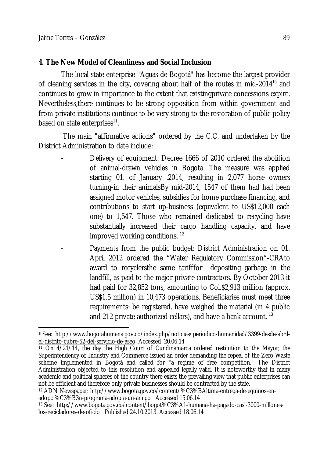# **4. The New Model of Cleanliness and Social Inclusion**

The local state enterprise "Aguas de Bogotá" has become the largest provider of cleaning services in the city, covering about half of the routes in mid-2014<sup>10</sup> and continues to grow in importance to the extent that existingprivate concessions expire. Nevertheless,there continues to be strong opposition from within government and from private institutions continue to be very strong to the restoration of public policy based on state enterprises<sup>11</sup>.

The main "affirmative actions" ordered by the C.C. and undertaken by the District Administration to date include:

- Delivery of equipment: Decree 1666 of 2010 ordered the abolition of animal-drawn vehicles in Bogota. The measure was applied starting 01. of January .2014, resulting in 2,077 horse owners turning-in their animalsBy mid-2014, 1547 of them had had been assigned motor vehicles, subsidies for home purchase financing, and contributions to start up-business (equivalent to US\$12,000 each one) to 1,547. Those who remained dedicated to recycling have substantially increased their cargo handling capacity, and have improved working conditions. <sup>12</sup>
	- Payments from the public budget: District Administration on 01. April 2012 ordered the "Water Regulatory Commission"-CRAto award to recyclersthe same tarifffor depositing garbage in the landfill, as paid to the major private contractors. By October 2013 it had paid for 32,852 tons, amounting to Col.\$2,913 million (approx. US\$1.5 million) in 10,473 operations. Beneficiaries must meet three requirements: be registered, have weighed the material (in 4 public and 212 private authorized cellars), and have a bank account.  $^{13}$

 $\overline{\phantom{a}}$ 10See: http://www.bogotahumana.gov.co/index.php/noticias/periodico-humanidad/3399-desde-abrilel-distrito-cubre-52-del-servicio-de-aseo Accessed 20.06.14

<sup>11</sup> On 4/21/14, the day the High Court of Cundinamarca ordered restitution to the Mayor, the Superintendency of Industry and Commerce issued an order demanding the repeal of the Zero Waste scheme implemented in Bogotá and called for "a regime of free competition." The District Administration objected to this resolution and appealed legally valid. It is noteworthy that in many academic and political spheres of the country there exists the prevailing view that public enterprises can not be efficient and therefore only private businesses should be contracted by the state.

<sup>12</sup> ADN Newspaper: http://www.bogota.gov.co/content/%C3%BAltima-entrega-de-equinos-enadopci%C3%B3n-programa-adopta-un-amigo Accessed 15.06.14

<sup>13</sup> See: http://www.bogota.gov.co/content/bogot%C3%A1-humana-ha-pagado-casi-3000-milloneslos-recicladores-de-oficio Published 24.10.2013. Accessed 18.06.14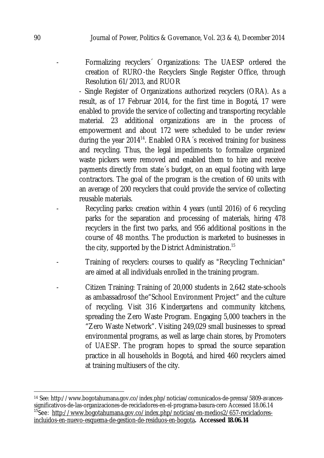Formalizing recyclers<sup>2</sup> Organizations: The UAESP ordered the creation of RURO-the Recyclers Single Register Office, through Resolution 61/2013, and RUOR

- Single Register of Organizations authorized recyclers (ORA). As a result, as of 17 Februar 2014, for the first time in Bogotá, 17 were enabled to provide the service of collecting and transporting recyclable material. 23 additional organizations are in the process of empowerment and about 172 were scheduled to be under review during the year 2014<sup>14</sup>. Enabled ORA's received training for business and recycling. Thus, the legal impediments to formalize organized waste pickers were removed and enabled them to hire and receive payments directly from state´s budget, on an equal footing with large contractors. The goal of the program is the creation of 60 units with an average of 200 recyclers that could provide the service of collecting reusable materials.

- Recycling parks: creation within 4 years (until 2016) of 6 recycling parks for the separation and processing of materials, hiring 478 recyclers in the first two parks, and 956 additional positions in the course of 48 months. The production is marketed to businesses in the city, supported by the District Administration.<sup>15</sup>
- Training of recyclers: courses to qualify as "Recycling Technician" are aimed at all individuals enrolled in the training program.
- Citizen Training: Training of 20,000 students in 2,642 state-schools as ambassadrosof the"School Environment Project" and the culture of recycling. Visit 316 Kindergartens and community kitchens, spreading the Zero Waste Program. Engaging 5,000 teachers in the "Zero Waste Network". Visiting 249,029 small businesses to spread environmental programs, as well as large chain stores, by Promoters of UAESP. The program hopes to spread the source separation practice in all households in Bogotá, and hired 460 recyclers aimed at training multiusers of the city.

 $\overline{a}$ <sup>14</sup> See: http://www.bogotahumana.gov.co/index.php/noticias/comunicados-de-prensa/5809-avancessignificativos-de-las-organizaciones-de-recicladores-en-el-programa-basura-cero Accessed 18.06.14 <sup>15</sup>See: http://www.bogotahumana.gov.co/index.php/noticias/en-medios2/657-recicladoresincluidos-en-nuevo-esquema-de-gestion-de-residuos-en-bogota**. Accessed 18.06.14**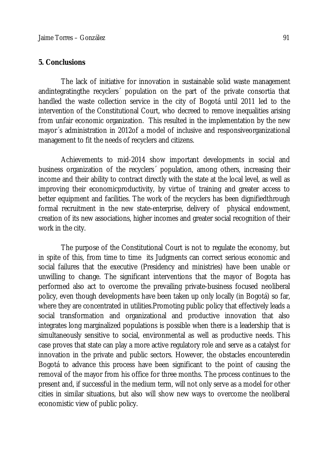### **5. Conclusions**

The lack of initiative for innovation in sustainable solid waste management andintegratingthe recyclers´ population on the part of the private consortia that handled the waste collection service in the city of Bogotá until 2011 led to the intervention of the Constitutional Court, who decreed to remove inequalities arising from unfair economic organization. This resulted in the implementation by the new mayor´s administration in 2012of a model of inclusive and responsiveorganizational management to fit the needs of recyclers and citizens.

Achievements to mid-2014 show important developments in social and business organization of the recyclers´ population, among others, increasing their income and their ability to contract directly with the state at the local level, as well as improving their economicproductivity, by virtue of training and greater access to better equipment and facilities. The work of the recyclers has been dignifiedthrough formal recruitment in the new state-enterprise, delivery of physical endowment, creation of its new associations, higher incomes and greater social recognition of their work in the city.

The purpose of the Constitutional Court is not to regulate the economy, but in spite of this, from time to time its Judgments can correct serious economic and social failures that the executive (Presidency and ministries) have been unable or unwilling to change. The significant interventions that the mayor of Bogota has performed also act to overcome the prevailing private-business focused neoliberal policy, even though developments have been taken up only locally (in Bogotá) so far, where they are concentrated in utilities.Promoting public policy that effectively leads a social transformation and organizational and productive innovation that also integrates long marginalized populations is possible when there is a leadership that is simultaneously sensitive to social, environmental as well as productive needs. This case proves that state can play a more active regulatory role and serve as a catalyst for innovation in the private and public sectors. However, the obstacles encounteredin Bogotá to advance this process have been significant to the point of causing the removal of the mayor from his office for three months. The process continues to the present and, if successful in the medium term, will not only serve as a model for other cities in similar situations, but also will show new ways to overcome the neoliberal economistic view of public policy.